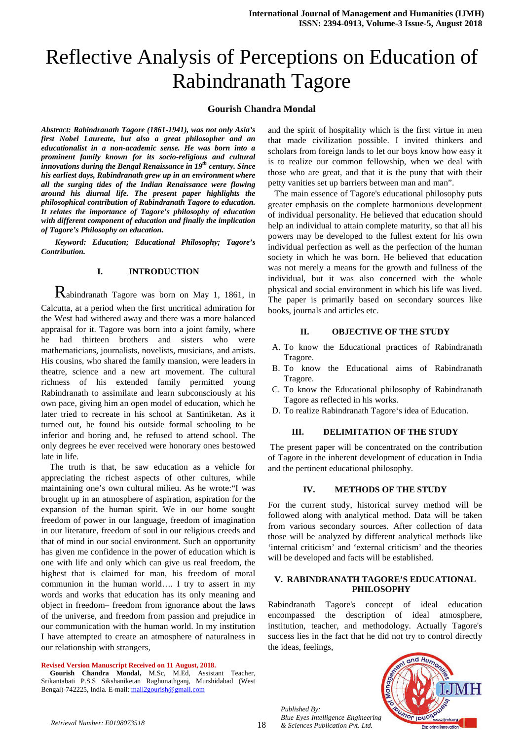# Reflective Analysis of Perceptions on Education of Rabindranath Tagore

## **Gourish Chandra Mondal**

*Abstract: Rabindranath Tagore (1861-1941), was not only Asia's first Nobel Laureate, but also a great philosopher and an educationalist in a non-academic sense. He was born into a prominent family known for its socio-religious and cultural innovations during the Bengal Renaissance in 19th century. Since his earliest days, Rabindranath grew up in an environment where all the surging tides of the Indian Renaissance were flowing around his diurnal life. The present paper highlights the philosophical contribution of Rabindranath Tagore to education. It relates the importance of Tagore's philosophy of education with different component of education and finally the implication of Tagore's Philosophy on education.* 

 *Keyword: Education; Educational Philosophy; Tagore's Contribution.* 

#### **I. INTRODUCTION**

 Rabindranath Tagore was born on May 1, 1861, in Calcutta, at a period when the first uncritical admiration for the West had withered away and there was a more balanced appraisal for it. Tagore was born into a joint family, where he had thirteen brothers and sisters who were mathematicians, journalists, novelists, musicians, and artists. His cousins, who shared the family mansion, were leaders in theatre, science and a new art movement. The cultural richness of his extended family permitted young Rabindranath to assimilate and learn subconsciously at his own pace, giving him an open model of education, which he later tried to recreate in his school at Santiniketan. As it turned out, he found his outside formal schooling to be inferior and boring and, he refused to attend school. The only degrees he ever received were honorary ones bestowed late in life.

 The truth is that, he saw education as a vehicle for appreciating the richest aspects of other cultures, while maintaining one's own cultural milieu. As he wrote:"I was brought up in an atmosphere of aspiration, aspiration for the expansion of the human spirit. We in our home sought freedom of power in our language, freedom of imagination in our literature, freedom of soul in our religious creeds and that of mind in our social environment. Such an opportunity has given me confidence in the power of education which is one with life and only which can give us real freedom, the highest that is claimed for man, his freedom of moral communion in the human world…. I try to assert in my words and works that education has its only meaning and object in freedom– freedom from ignorance about the laws of the universe, and freedom from passion and prejudice in our communication with the human world. In my institution I have attempted to create an atmosphere of naturalness in our relationship with strangers,

#### **Revised Version Manuscript Received on 11 August, 2018.**

 **Gourish Chandra Mondal,** M.Sc, M.Ed, Assistant Teacher, Srikantabati P.S.S Sikshaniketan Raghunathganj, Murshidabad (West Bengal)-742225, India. E-mail: mail2gourish@gmail.com

and the spirit of hospitality which is the first virtue in men that made civilization possible. I invited thinkers and scholars from foreign lands to let our boys know how easy it is to realize our common fellowship, when we deal with those who are great, and that it is the puny that with their petty vanities set up barriers between man and man".

 The main essence of Tagore's educational philosophy puts greater emphasis on the complete harmonious development of individual personality. He believed that education should help an individual to attain complete maturity, so that all his powers may be developed to the fullest extent for his own individual perfection as well as the perfection of the human society in which he was born. He believed that education was not merely a means for the growth and fullness of the individual, but it was also concerned with the whole physical and social environment in which his life was lived. The paper is primarily based on secondary sources like books, journals and articles etc.

#### **II. OBJECTIVE OF THE STUDY**

- A. To know the Educational practices of Rabindranath Tragore.
- B. To know the Educational aims of Rabindranath Tragore.
- C. To know the Educational philosophy of Rabindranath Tagore as reflected in his works.
- D. To realize Rabindranath Tagore's idea of Education.

## **III. DELIMITATION OF THE STUDY**

 The present paper will be concentrated on the contribution of Tagore in the inherent development of education in India and the pertinent educational philosophy.

## **IV. METHODS OF THE STUDY**

For the current study, historical survey method will be followed along with analytical method. Data will be taken from various secondary sources. After collection of data those will be analyzed by different analytical methods like 'internal criticism' and 'external criticism' and the theories will be developed and facts will be established.

#### **V. RABINDRANATH TAGORE'S EDUCATIONAL PHILOSOPHY**

Rabindranath Tagore's concept of ideal education encompassed the description of ideal atmosphere, institution, teacher, and methodology. Actually Tagore's success lies in the fact that he did not try to control directly the ideas, feelings,



*Published By: Blue Eyes Intelligence Engineering & Sciences Publication Pvt. Ltd. Retrieval Number: E0198073518*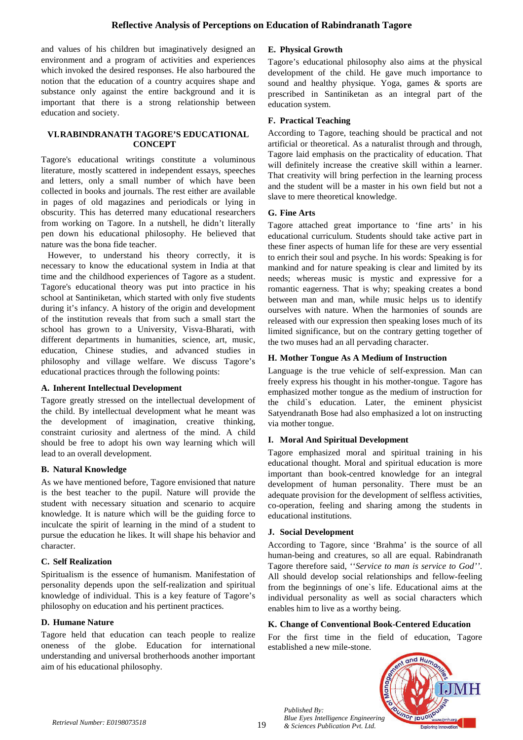and values of his children but imaginatively designed an environment and a program of activities and experiences which invoked the desired responses. He also harboured the notion that the education of a country acquires shape and substance only against the entire background and it is important that there is a strong relationship between education and society.

## **VI.RABINDRANATH TAGORE'S EDUCATIONAL CONCEPT**

Tagore's educational writings constitute a voluminous literature, mostly scattered in independent essays, speeches and letters, only a small number of which have been collected in books and journals. The rest either are available in pages of old magazines and periodicals or lying in obscurity. This has deterred many educational researchers from working on Tagore. In a nutshell, he didn't literally pen down his educational philosophy. He believed that nature was the bona fide teacher.

 However, to understand his theory correctly, it is necessary to know the educational system in India at that time and the childhood experiences of Tagore as a student. Tagore's educational theory was put into practice in his school at Santiniketan, which started with only five students during it's infancy. A history of the origin and development of the institution reveals that from such a small start the school has grown to a University, Visva-Bharati, with different departments in humanities, science, art, music, education, Chinese studies, and advanced studies in philosophy and village welfare. We discuss Tagore's educational practices through the following points:

## **A. Inherent Intellectual Development**

Tagore greatly stressed on the intellectual development of the child. By intellectual development what he meant was the development of imagination, creative thinking, constraint curiosity and alertness of the mind. A child should be free to adopt his own way learning which will lead to an overall development.

## **B. Natural Knowledge**

As we have mentioned before, Tagore envisioned that nature is the best teacher to the pupil. Nature will provide the student with necessary situation and scenario to acquire knowledge. It is nature which will be the guiding force to inculcate the spirit of learning in the mind of a student to pursue the education he likes. It will shape his behavior and character.

## **C. Self Realization**

Spiritualism is the essence of humanism. Manifestation of personality depends upon the self-realization and spiritual knowledge of individual. This is a key feature of Tagore's philosophy on education and his pertinent practices.

## **D. Humane Nature**

Tagore held that education can teach people to realize oneness of the globe. Education for international understanding and universal brotherhoods another important aim of his educational philosophy.

# **E. Physical Growth**

Tagore's educational philosophy also aims at the physical development of the child. He gave much importance to sound and healthy physique. Yoga, games & sports are prescribed in Santiniketan as an integral part of the education system.

## **F. Practical Teaching**

According to Tagore, teaching should be practical and not artificial or theoretical. As a naturalist through and through, Tagore laid emphasis on the practicality of education. That will definitely increase the creative skill within a learner. That creativity will bring perfection in the learning process and the student will be a master in his own field but not a slave to mere theoretical knowledge.

## **G. Fine Arts**

Tagore attached great importance to 'fine arts' in his educational curriculum. Students should take active part in these finer aspects of human life for these are very essential to enrich their soul and psyche. In his words: Speaking is for mankind and for nature speaking is clear and limited by its needs; whereas music is mystic and expressive for a romantic eagerness. That is why; speaking creates a bond between man and man, while music helps us to identify ourselves with nature. When the harmonies of sounds are released with our expression then speaking loses much of its limited significance, but on the contrary getting together of the two muses had an all pervading character.

## **H. Mother Tongue As A Medium of Instruction**

Language is the true vehicle of self-expression. Man can freely express his thought in his mother-tongue. Tagore has emphasized mother tongue as the medium of instruction for the child`s education. Later, the eminent physicist Satyendranath Bose had also emphasized a lot on instructing via mother tongue.

## **I. Moral And Spiritual Development**

Tagore emphasized moral and spiritual training in his educational thought. Moral and spiritual education is more important than book-centred knowledge for an integral development of human personality. There must be an adequate provision for the development of selfless activities, co-operation, feeling and sharing among the students in educational institutions.

## **J. Social Development**

*Published By:* 

According to Tagore, since 'Brahma' is the source of all human-being and creatures, so all are equal. Rabindranath Tagore therefore said, ''*Service to man is service to God''*. All should develop social relationships and fellow-feeling from the beginnings of one`s life. Educational aims at the individual personality as well as social characters which enables him to live as a worthy being.

## **K. Change of Conventional Book-Centered Education**

For the first time in the field of education, Tagore established a new mile-stone.